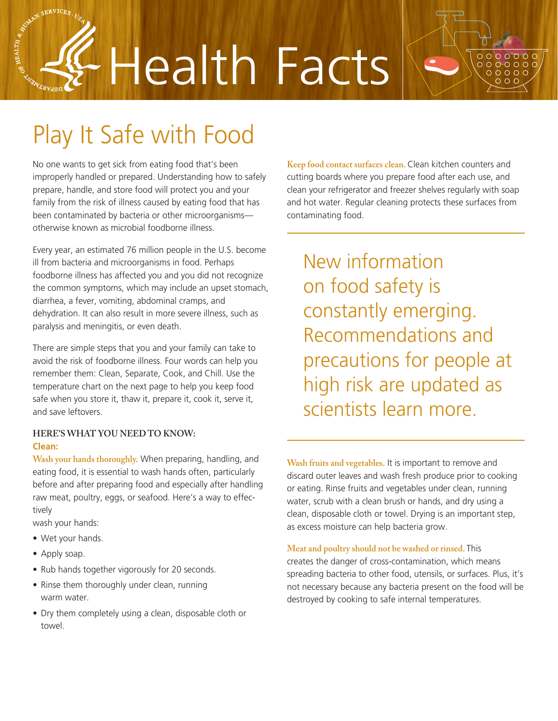# Health Facts

# Play It Safe with Food

No one wants to get sick from eating food that's been improperly handled or prepared. Understanding how to safely prepare, handle, and store food will protect you and your family from the risk of illness caused by eating food that has been contaminated by bacteria or other microorganisms otherwise known as microbial foodborne illness.

Every year, an estimated 76 million people in the U.S. become ill from bacteria and microorganisms in food. Perhaps foodborne illness has affected you and you did not recognize the common symptoms, which may include an upset stomach, diarrhea, a fever, vomiting, abdominal cramps, and dehydration. It can also result in more severe illness, such as paralysis and meningitis, or even death.

There are simple steps that you and your family can take to avoid the risk of foodborne illness. Four words can help you remember them: Clean, Separate, Cook, and Chill. Use the temperature chart on the next page to help you keep food safe when you store it, thaw it, prepare it, cook it, serve it, and save leftovers.

## **HERE'S WHAT YOU NEED TO KNOW: Clean:**

**Wash your hands thoroughly.** When preparing, handling, and eating food, it is essential to wash hands often, particularly before and after preparing food and especially after handling raw meat, poultry, eggs, or seafood. Here's a way to effectively

wash your hands:

- Wet your hands.
- Apply soap.

 $\text{tBALTH} \ _{ \textcolor{red}{\Phi_{\textcolor{blue}{\ell_{\textcolor{blue}{\ell_{\textcolor{blue}{\ell_{\textcolor{blue}{\ell_{\textcolor{blue}{\ell_{\textcolor{blue}{\ell_{\textcolor{blue}{\ell_{\textcolor{blue}{\ell_{\textcolor{blue}{\ell_{\textcolor{blue}{\ell_{\textcolor{blue}{\ell_{\textcolor{blue}{\ell_{\textcolor{blue}{\ell_{\textcolor{blue}{\ell_{\textcolor{blue}{\ell_{\textcolor{blue}{\ell_{\textcolor{blue}{\ell_{\textcolor{blue}{\ell_{\textcolor{blue}{\ell_{\textcolor{blue}{\ell_{\textcolor{blue}{\ell_{\textcolor{blue}{\ell_{\text$ 

- Rub hands together vigorously for 20 seconds.
- Rinse them thoroughly under clean, running warm water.
- Dry them completely using a clean, disposable cloth or towel.

**Keep food contact surfaces clean.** Clean kitchen counters and cutting boards where you prepare food after each use, and clean your refrigerator and freezer shelves regularly with soap and hot water. Regular cleaning protects these surfaces from contaminating food.

New information on food safety is constantly emerging. Recommendations and precautions for people at high risk are updated as scientists learn more.

**Wash fruits and vegetables.** It is important to remove and discard outer leaves and wash fresh produce prior to cooking or eating. Rinse fruits and vegetables under clean, running water, scrub with a clean brush or hands, and dry using a clean, disposable cloth or towel. Drying is an important step, as excess moisture can help bacteria grow.

# **Meat and poultry should not be washed or rinsed.** This

creates the danger of cross-contamination, which means spreading bacteria to other food, utensils, or surfaces. Plus, it's not necessary because any bacteria present on the food will be destroyed by cooking to safe internal temperatures.